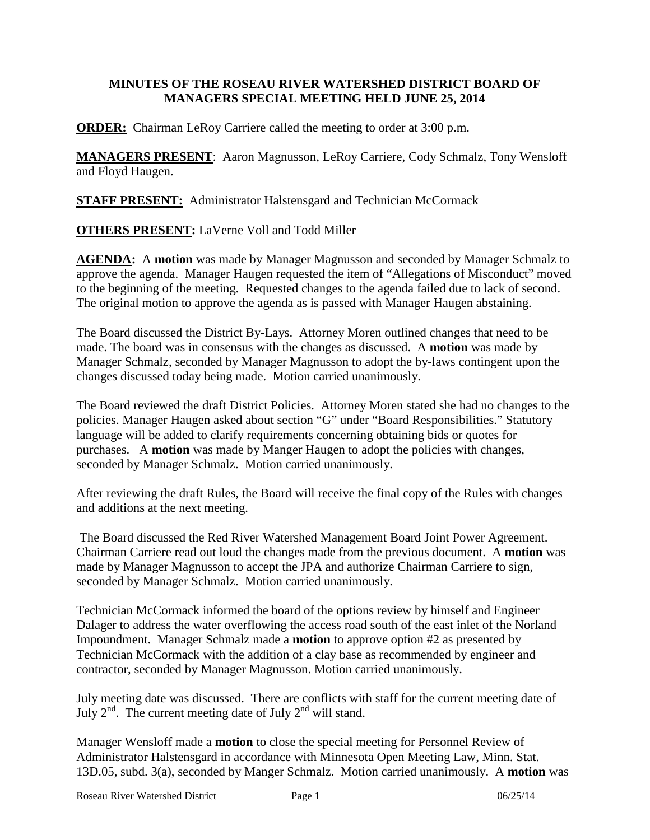## **MINUTES OF THE ROSEAU RIVER WATERSHED DISTRICT BOARD OF MANAGERS SPECIAL MEETING HELD JUNE 25, 2014**

**ORDER:** Chairman LeRoy Carriere called the meeting to order at 3:00 p.m.

**MANAGERS PRESENT**: Aaron Magnusson, LeRoy Carriere, Cody Schmalz, Tony Wensloff and Floyd Haugen.

**STAFF PRESENT:** Administrator Halstensgard and Technician McCormack

**OTHERS PRESENT:** LaVerne Voll and Todd Miller

**AGENDA:** A **motion** was made by Manager Magnusson and seconded by Manager Schmalz to approve the agenda. Manager Haugen requested the item of "Allegations of Misconduct" moved to the beginning of the meeting. Requested changes to the agenda failed due to lack of second. The original motion to approve the agenda as is passed with Manager Haugen abstaining.

The Board discussed the District By-Lays. Attorney Moren outlined changes that need to be made. The board was in consensus with the changes as discussed. A **motion** was made by Manager Schmalz, seconded by Manager Magnusson to adopt the by-laws contingent upon the changes discussed today being made. Motion carried unanimously.

The Board reviewed the draft District Policies. Attorney Moren stated she had no changes to the policies. Manager Haugen asked about section "G" under "Board Responsibilities." Statutory language will be added to clarify requirements concerning obtaining bids or quotes for purchases. A **motion** was made by Manger Haugen to adopt the policies with changes, seconded by Manager Schmalz. Motion carried unanimously.

After reviewing the draft Rules, the Board will receive the final copy of the Rules with changes and additions at the next meeting.

The Board discussed the Red River Watershed Management Board Joint Power Agreement. Chairman Carriere read out loud the changes made from the previous document. A **motion** was made by Manager Magnusson to accept the JPA and authorize Chairman Carriere to sign, seconded by Manager Schmalz. Motion carried unanimously.

Technician McCormack informed the board of the options review by himself and Engineer Dalager to address the water overflowing the access road south of the east inlet of the Norland Impoundment. Manager Schmalz made a **motion** to approve option #2 as presented by Technician McCormack with the addition of a clay base as recommended by engineer and contractor, seconded by Manager Magnusson. Motion carried unanimously.

July meeting date was discussed. There are conflicts with staff for the current meeting date of July  $2^{nd}$ . The current meeting date of July  $2^{nd}$  will stand.

Manager Wensloff made a **motion** to close the special meeting for Personnel Review of Administrator Halstensgard in accordance with Minnesota Open Meeting Law, Minn. Stat. 13D.05, subd. 3(a), seconded by Manger Schmalz. Motion carried unanimously. A **motion** was